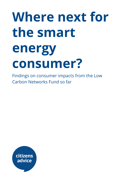# **Where next for the smart energy consumer?**

Findings on consumer impacts from the Low Carbon Networks Fund so far

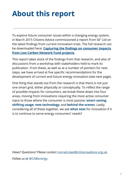# **About this report**

To explore future consumer issues within a changing energy system, in March 2015 Citizens Advice commissioned a report from SE <sup>2</sup> Ltd on the latest findings from current innovation trials. The full research can be downloaded here: **Capturing the findings on [consumer](http://www.citizensadvice.org.uk/index/policy/policy_publications/er_fuel_water_post_digital_telecoms/consumer_impacts_from_low_carbon_networks_fund_projects.htm) impacts from Low Carbon [Network](http://www.citizensadvice.org.uk/index/policy/policy_publications/er_fuel_water_post_digital_telecoms/consumer_impacts_from_low_carbon_networks_fund_projects.htm) Fund projects**.

This report takes stock of the findings from that research, and also of discussions from a workshop with stakeholders held to mark its publication. From these, as well as at a number of pointers for next steps, we have arrived at five specific recommendations for the development of current and future energy innovation (see next page).

One thing that stands out from the research is that there is not just one smart grid, either physically or conceptually. To reflect the range of possible impacts for consumers, we break these down into four areas, moving from innovations requiring the most active consumer input to those where the consumer is most passive: **smart saving**; **shifting usage**; **new technology**; and **behind the scenes**. Lastly, considering all of these together, we ask **what next** for innovation if it is to continue to serve energy consumers' needs?

*Views? Questions? Please contact* [conrad.steel@citizensadvice.org.uk](mailto:conrad.steel@citizensadvice.org.uk)*. Follow us at* @CABenergy.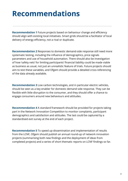# **Recommendations**

**Recommendation 1** Future projects based on behaviour change and efficiency should align with existing local initiatives. Smart grids should be a facilitator of local delivery of energy efficiency, not a rival or duplicate.

**Recommendation 2** Responses to domestic demand-side response still need more systematic testing, including the influence of demographics, price signals parameters and use of household automation. There should also be investigation of how 'safety nets' for limiting participants' financial liability could be made viable as business as usual, not just an unrealistic feature of trials. Future projects should aim to test these variables, and Ofgem should provide a detailed cross-referencing of the data already available.

**Recommendation 3**Low carbon technologies, and in particular electric vehicles, should be seen as a key enabler for domestic demand side response. They can be flexible with little disruption to the consumer, and they should offer a chance to engage consumers around new behaviours and attitudes.

**Recommendation 4** A standard framework should be provided for projects taking part in the Network Innovation Competition to monitor complaints, participant demographics and satisfaction and attitudes. The last could be captured by a standardised exit survey at the end of each project.

**Recommendation 5**To speed up dissemination and implementation of results from the LCNF, Ofgem should publish an annual round-up of network innovation projects (summarising both new findings and the deployment of ideas from completed projects) and a series of short thematic reports on LCNF findings so far.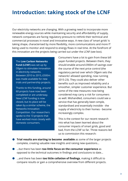### **Introduction: taking stock of the LCNF**

Our electricity networks are changing. With a growing need to incorporate more renewable energy sources while maintaining security and affordability of supply, network companies are facing regulatory pressure to rethink their technical and commercial processes in novel and innovative ways. A new class of 'smart grids' is taking shape, characterised by more flexibility, more communications and more IT being used to monitor and respond to energy flows in real time. At the forefront of this innovation are the projects being carried out under the LCNF (see box).

The Low Carbon Networks Fund (LCNF) was set up by Ofgem to stimulate innovation in electricity networks. Between 2010 to 2015, £500m was made available for new trials and partnership projects.

Thanks to this funding, around 60 projects have now been completed or are underway. New LCNF funding is now closed, but its place will be taken by a similar scheme, the Networks Innovation Competition. Our researchers spoke to the 13 projects that have worked most closely with domestic consumers.

Consumers have a lot to gain from these bill payer-funded projects. Between them, they should enable around £900m of savings over the course of the next price control (the regulatory period over which Ofgem sets the networks' allowed spending, now running 2015-23). They could also deliver other benefits such as improved reliability and a smoother, simpler customer experience. But some of the new measures now being considered may carry a risk for consumers as well. Mishandled, consumers could see a service that has generally been simple, standardised and essentially invisible - the supply of electricity to their homes - become increasingly complex.

This is the context for our recent research into what has been learned about the consumer impacts of smart grids, good and bad, from the LCNF so far. Three reasons led us to commission this research:

- **Trial results are starting to become available**as some of the larger projects complete, creating valuable new insights and raising new questions...
- ...but there has been **too little focus on the consumer experience** as opposed to the technical outcomes in findings and conclusions to date...
- ...and there has been **too little collation of findings**, making it difficult to compare results or gain a comprehensive overview from different projects.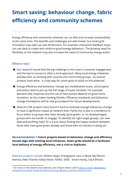# **Smart saving: behaviour change, fabric efficiency and community schemes**

Energy efficiency and community schemes can cut bills and increase sustainability at the same time. The benefits and challenges are well known, but smart grid innovation may open up new dimensions. For example, interactive feedback loops can use data to create and reinforce good energy behaviour. The growing need for flexibility on the network may also increase the value of community energy action.

#### Where next

- Our research found that the big challenge in this area is customer engagement, and the key to success is often a local approach. Many local energy initiatives already exist, so working with councils and community groups - as several projects have done - is a key way for smart grids to build on this potential. 1
- Energy efficiency and behaviour change are multifaceted issues, and projects and policy need to join up the full range of issues involved. For example, demand-side response and the use of heat pumps depend on good home insulation, as this makes heating flexible. Efficiency standards and behaviour change frameworks will be vital groundwork for future developments.
- Several LCNF projects have found it hard to motivate enough behaviour change to have a significant impact at network level. Partly this is due to a tendency to focus either on groups who have already 'gone green', or on disadvantaged groups who are harder to engage. To identify the right target groups, can new data and profiling help? Or is it just about finding the happy medium between those who have gone green already and those with no interest in doing so?

**Recommendation 1 Future projects based on behaviour change and efficiency should align with existing local initiatives. Smart grids should be a facilitator local delivery of energy efficiency, not a rival or duplicate.**

Relevant projects include: Ashton Hayes, Energywise, Less is More, My Electric Avenue, New Thames Valley Vision, NINES, SAVE, Smart Hooky, SoLA Bristol.

<sup>1</sup> For more on the need for local delivery, see: Citizens Advice. (2015) *Closer to Home: [Developing](https://www.citizensadvice.org.uk/Global/CitizensAdvice/essential%20services%20publications/Closer-to-home-report-final.pdf) a [framework](https://www.citizensadvice.org.uk/Global/CitizensAdvice/essential%20services%20publications/Closer-to-home-report-final.pdf) for greater locally led delivery of energy efficiency and fuel poverty services*.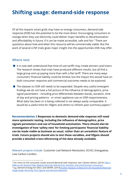## **Shifting usage: demand-side response**

Of all the impacts smart grids may have on energy consumers, demand-side response (DSR) has the potential to be the most direct. Encouraging consumers to change when they use electricity could deliver major benefits to decarbonisation and affordability in future, if it can be made accessible, safe and fair. $<sup>2</sup>$  There are</sup> questions about how and when this resource will be commercially viable. But the work of several LCNF trials gives major insight into the opportunities DSR may offer.

#### Where next

- It is now well understood that time-of-use tariffs may create winners and losers. The research shows that trials have produced different results, but all find a large group end up paying more than with a flat tariff. There are many ways consumers' financial liability could be limited, but the impact this would have on both consumer response and commercial outcomes needs to be explored.
- The dataset on DSR still needs to be expanded. Despite very useful emergent findings we do not have a full picture of the influence of demographics, price signal parameters - including price differentials between bands, duration, time of day and pricing patterns - or smart appliance use on DSR responsiveness. What data has been or is being collected is not always easily comparable. It would be a useful time for Ofgem and others to refresh past summary papers. $^3$

**Recommendation 2 Responses to domestic demand-side response still need more systematic testing, including the influence of demographics, price signals parameters and use of household automation. There should also be investigation of how 'safety nets' for limiting participants' financial liability can be made viable as business as usual, rather than an unrealistic feature of trials. Future projects should aim to test these variables, and Ofgem should provide a detailed cross-referencing of the data already available.**

Relevant projects include: Customer-Led Network Revolution, ECHO, Energywise, Low Carbon London.

<sup>2</sup> For more on the consumer issues around demand-side response, see: Citizens Advice. (2014) *[Take](https://www.citizensadvice.org.uk/Global/Migrated_Documents/corporate/take-a-walk-on-the-demand-side-final-2.pdf) a Walk on the Demand Side: Making electricity DSR work for domestic and small business [consumers](https://www.citizensadvice.org.uk/Global/Migrated_Documents/corporate/take-a-walk-on-the-demand-side-final-2.pdf)*.

<sup>3</sup> e.g. Element Energy for DECC and DEFRA. (2014) *Further Analysis of Data from the [Household](https://www.gov.uk/government/uploads/system/uploads/attachment_data/file/326122/HEUS_Electricity_Price_Signals_and_Demand_Response_Final_Report_04_04_14....pdf) Electricity Usage Study: [Electricity](https://www.gov.uk/government/uploads/system/uploads/attachment_data/file/326122/HEUS_Electricity_Price_Signals_and_Demand_Response_Final_Report_04_04_14....pdf) Price Signals and Demand Response*.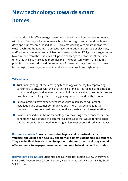# **New technology: towards smart homes**

Smart grids might affect energy consumers' behaviour or how companies interact with them. But they will also influence how technology in and around the home develops. Our research looked at LCNF projects working with smart appliances, electric vehicles, heat pumps, domestic-level generation and storage of electricity and/or heat and energy, and efficient technology such as LED lighting. Larger, more two-way load from these sources will pose a challenge to networks. At the same time, they will also make load more flexible. The opportunity from trials at this point is to understand how different types of consumers might respond to these technologies, how they can benefit, and where any problems might arise.

#### Where next

- Trial findings suggest that emerging technology will be key to empowering consumers to engage with the smart grid, so long as it is reliable and simple to control. Intelligent and interconnected solutions where the consumer is passive have been particularly effective, suggesting scope to build on these in future.
- Several projects have experienced issues with reliability of equipment, installation and customer communications. There may be a need for a framework to promote best practice, as already exists for microgeneration.
- Solutions based on in-home technology risk favouring richer consumers. Trial conditions have reduced the commercial pressures that would tend to cause this, but there is now a need to investigate low-cost or subsidised alternatives.

**Recommendation 3Low carbon technologies, and in particular electric vehicles, should be seen as a key enabler for domestic demand side response. They can be flexible with little disruption to the consumer, and they should offer a chance to engage consumers around new behaviours and attitudes.**

Relevant projects include: Customer-Led Network Revolution, ECHO, Energywise, My Electric Avenue, Low Carbon London, New Thames Valley Vision, NINES, SAVE, SoLA Bristol.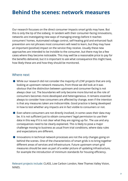### **Behind the scenes: network measures**

Our research focusses on the direct consumer impacts smart grids may have. But this is only the tip of the iceberg. In tandem with their consumer-facing innovations, networks are investigating new ways of managing energy before it reaches consumers' homes. Automated voltage control, self-healing grid and enhanced fault prevention are not phrases most consumers will need to learn, but they may have an important (positive) impact on the service they receive. Usually these new approaches are intended to be invisible to the consumer, but there may be a few cases where they become noticeable. This may well be a reasonable price to pay for the benefits delivered, but it is important to ask what consequence this might have, how likely these are and how they should be monitored.

#### Where next

- While our research did not consider the majority of LCNF projects that are only looking at upstream network measures, from those we did look at it was obvious that the distinction between upstream and consumer-facing is not always clear cut. The boundaries will only become more blurred as the role of consumers becomes more developed and heterogeneous. It remains essential always to consider how consumers are affected by change, even if the intention is that any measures taken are indiscernible. Good practice is being developed in how to test whether any impacts are in fact visible to consumers or not.
- $\bullet$  Even where consumers are not directly involved, in some cases their data may be. It is not sufficient just to obtain consumers' legal permission to use their data in this way if it is not clear what they are signing up for. The use and any consequences need to be clearly explained. This is likely to pose a major challenge moving to business as usual from trial conditions, where data rules and expectations are different.
- Innovations in technical network processes are not the only changes going on behind the scenes. One of the characteristics of smart grids is to bring together different areas of services and infrastructure. Future upstream smart grid measures should be seen as part of a wider picture of updating infrastructure, for example the introduction of minimum standards for housing efficiency.

Relevant projects include: CLASS, Low Carbon London, New Thames Valley Vision, NINES.